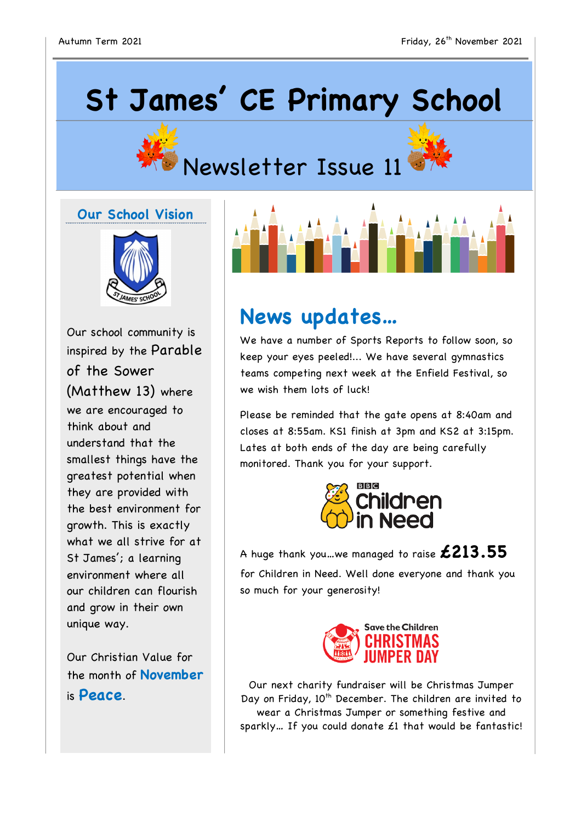# **St James' CE Primary School**





## Newsletter Issue 11

#### **Our School Vision**



Our school community is inspired by the Parable of the Sower (Matthew 13) where we are encouraged to think about and understand that the smallest things have the greatest potential when they are provided with the best environment for growth. This is exactly what we all strive for at St James'; a learning environment where all our children can flourish and grow in their own unique way.

Our Christian Value for the month of **November** is **Peace**.



### **News updates…**

We have a number of Sports Reports to follow soon, so keep your eyes peeled!... We have several gymnastics teams competing next week at the Enfield Festival, so we wish them lots of luck!

Please be reminded that the gate opens at 8:40am and closes at 8:55am. KS1 finish at 3pm and KS2 at 3:15pm. Lates at both ends of the day are being carefully monitored. Thank you for your support.



<sup>A</sup> huge thank you…we managed to raise **£213.55** for Children in Need. Well done everyone and thank you so much for your generosity!



Our next charity fundraiser will be Christmas Jumper Day on Friday, 10<sup>th</sup> December. The children are invited to wear a Christmas Jumper or something festive and sparkly... If you could donate £1 that would be fantastic!